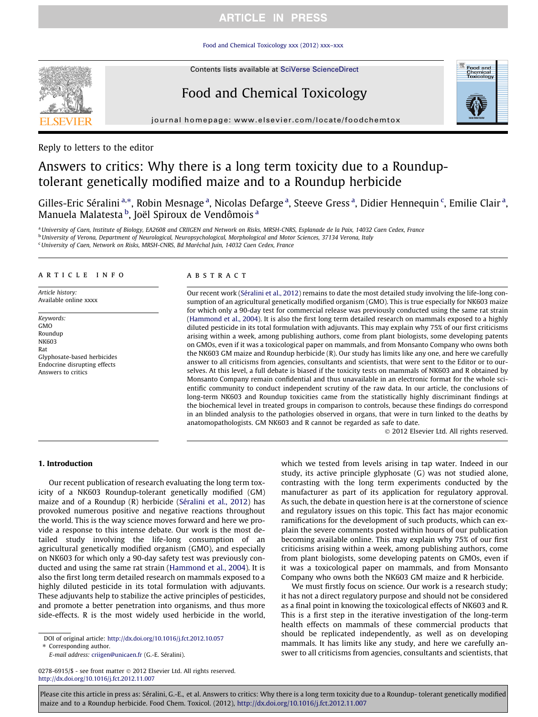[Food and Chemical Toxicology xxx \(2012\) xxx–xxx](http://dx.doi.org/10.1016/j.fct.2012.10.057)



Contents lists available at [SciVerse ScienceDirect](http://www.sciencedirect.com/science/journal/02786915)

# Food and Chemical Toxicology



journal homepage: [www.elsevier.com/locate/foodchemtox](http://www.elsevier.com/locate/foodchemtox)

# Reply to letters to the editor

# Answers to critics: Why there is a long term toxicity due to a Rounduptolerant genetically modified maize and to a Roundup herbicide

Gilles-Eric Séralini<sup>a,\*</sup>, Robin Mesnage<sup>a</sup>, Nicolas Defarge<sup>a</sup>, Steeve Gress<sup>a</sup>, Didier Hennequin<sup>c</sup>, Emilie Clair<sup>a</sup>, Manuela Malatesta <sup>b</sup>, Joël Spiroux de Vendômois <sup>a</sup>

<sup>a</sup> University of Caen, Institute of Biology, EA2608 and CRIIGEN and Network on Risks, MRSH-CNRS, Esplanade de la Paix, 14032 Caen Cedex, France **b** University of Verona, Department of Neurological, Neuropsychological, Morphological and Motor Sciences, 37134 Verona, Italy <sup>c</sup> University of Caen, Network on Risks, MRSH-CNRS, Bd Maréchal Juin, 14032 Caen Cedex, France

## article info

Article history: Available online xxxx

Keywords: GMO Roundup NK603 Rat Glyphosate-based herbicides Endocrine disrupting effects Answers to critics

## ABSTRACT

Our recent work ([Séralini et al., 2012\)](#page-7-0) remains to date the most detailed study involving the life-long consumption of an agricultural genetically modified organism (GMO). This is true especially for NK603 maize for which only a 90-day test for commercial release was previously conducted using the same rat strain ([Hammond et al., 2004\)](#page-6-0). It is also the first long term detailed research on mammals exposed to a highly diluted pesticide in its total formulation with adjuvants. This may explain why 75% of our first criticisms arising within a week, among publishing authors, come from plant biologists, some developing patents on GMOs, even if it was a toxicological paper on mammals, and from Monsanto Company who owns both the NK603 GM maize and Roundup herbicide (R). Our study has limits like any one, and here we carefully answer to all criticisms from agencies, consultants and scientists, that were sent to the Editor or to ourselves. At this level, a full debate is biased if the toxicity tests on mammals of NK603 and R obtained by Monsanto Company remain confidential and thus unavailable in an electronic format for the whole scientific community to conduct independent scrutiny of the raw data. In our article, the conclusions of long-term NK603 and Roundup toxicities came from the statistically highly discriminant findings at the biochemical level in treated groups in comparison to controls, because these findings do correspond in an blinded analysis to the pathologies observed in organs, that were in turn linked to the deaths by anatomopathologists. GM NK603 and R cannot be regarded as safe to date.

- 2012 Elsevier Ltd. All rights reserved.

# 1. Introduction

Our recent publication of research evaluating the long term toxicity of a NK603 Roundup-tolerant genetically modified (GM) maize and of a Roundup (R) herbicide ([Séralini et al., 2012](#page-7-0)) has provoked numerous positive and negative reactions throughout the world. This is the way science moves forward and here we provide a response to this intense debate. Our work is the most detailed study involving the life-long consumption of an agricultural genetically modified organism (GMO), and especially on NK603 for which only a 90-day safety test was previously conducted and using the same rat strain ([Hammond et al., 2004\)](#page-6-0). It is also the first long term detailed research on mammals exposed to a highly diluted pesticide in its total formulation with adjuvants. These adjuvants help to stabilize the active principles of pesticides, and promote a better penetration into organisms, and thus more side-effects. R is the most widely used herbicide in the world,

⇑ Corresponding author.

E-mail address: [criigen@unicaen.fr](mailto:criigen@unicaen.fr) (G.-E. Séralini).

0278-6915/\$ - see front matter © 2012 Elsevier Ltd. All rights reserved. <http://dx.doi.org/10.1016/j.fct.2012.11.007>

which we tested from levels arising in tap water. Indeed in our study, its active principle glyphosate (G) was not studied alone, contrasting with the long term experiments conducted by the manufacturer as part of its application for regulatory approval. As such, the debate in question here is at the cornerstone of science and regulatory issues on this topic. This fact has major economic ramifications for the development of such products, which can explain the severe comments posted within hours of our publication becoming available online. This may explain why 75% of our first criticisms arising within a week, among publishing authors, come from plant biologists, some developing patents on GMOs, even if it was a toxicological paper on mammals, and from Monsanto Company who owns both the NK603 GM maize and R herbicide.

We must firstly focus on science. Our work is a research study; it has not a direct regulatory purpose and should not be considered as a final point in knowing the toxicological effects of NK603 and R. This is a first step in the iterative investigation of the long-term health effects on mammals of these commercial products that should be replicated independently, as well as on developing mammals. It has limits like any study, and here we carefully answer to all criticisms from agencies, consultants and scientists, that

DOI of original article: <http://dx.doi.org/10.1016/j.fct.2012.10.057>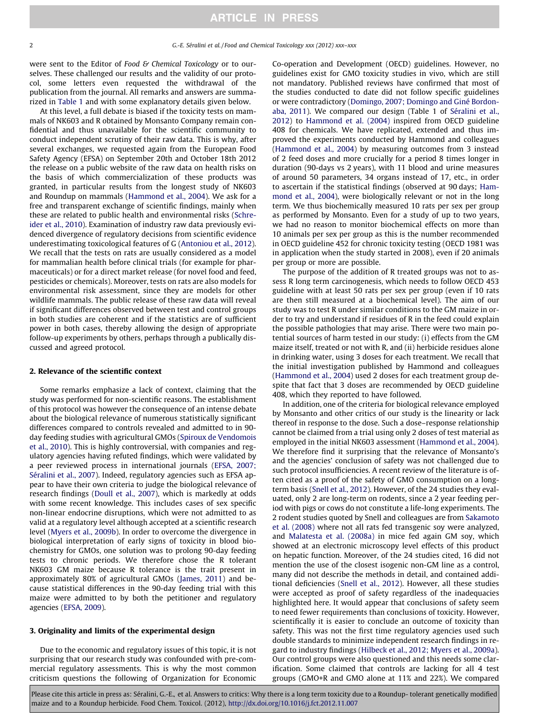were sent to the Editor of Food & Chemical Toxicology or to ourselves. These challenged our results and the validity of our protocol, some letters even requested the withdrawal of the publication from the journal. All remarks and answers are summarized in [Table 1](#page-2-0) and with some explanatory details given below.

At this level, a full debate is biased if the toxicity tests on mammals of NK603 and R obtained by Monsanto Company remain confidential and thus unavailable for the scientific community to conduct independent scrutiny of their raw data. This is why, after several exchanges, we requested again from the European Food Safety Agency (EFSA) on September 20th and October 18th 2012 the release on a public website of the raw data on health risks on the basis of which commercialization of these products was granted, in particular results from the longest study of NK603 and Roundup on mammals [\(Hammond et al., 2004](#page-6-0)). We ask for a free and transparent exchange of scientific findings, mainly when these are related to public health and environmental risks ([Schre](#page-7-0)[ider et al., 2010](#page-7-0)). Examination of industry raw data previously evidenced divergence of regulatory decisions from scientific evidence underestimating toxicological features of G ([Antoniou et al., 2012\)](#page-6-0). We recall that the tests on rats are usually considered as a model for mammalian health before clinical trials (for example for pharmaceuticals) or for a direct market release (for novel food and feed, pesticides or chemicals). Moreover, tests on rats are also models for environmental risk assessment, since they are models for other wildlife mammals. The public release of these raw data will reveal if significant differences observed between test and control groups in both studies are coherent and if the statistics are of sufficient power in both cases, thereby allowing the design of appropriate follow-up experiments by others, perhaps through a publically discussed and agreed protocol.

### 2. Relevance of the scientific context

Some remarks emphasize a lack of context, claiming that the study was performed for non-scientific reasons. The establishment of this protocol was however the consequence of an intense debate about the biological relevance of numerous statistically significant differences compared to controls revealed and admitted to in 90 day feeding studies with agricultural GMOs ([Spiroux de Vendomois](#page-7-0) [et al., 2010\)](#page-7-0). This is highly controversial, with companies and regulatory agencies having refuted findings, which were validated by a peer reviewed process in international journals [\(EFSA, 2007;](#page-6-0) [Séralini et al., 2007\)](#page-6-0). Indeed, regulatory agencies such as EFSA appear to have their own criteria to judge the biological relevance of research findings ([Doull et al., 2007\)](#page-6-0), which is markedly at odds with some recent knowledge. This includes cases of sex specific non-linear endocrine disruptions, which were not admitted to as valid at a regulatory level although accepted at a scientific research level [\(Myers et al., 2009b](#page-7-0)). In order to overcome the divergence in biological interpretation of early signs of toxicity in blood biochemistry for GMOs, one solution was to prolong 90-day feeding tests to chronic periods. We therefore chose the R tolerant NK603 GM maize because R tolerance is the trait present in approximately 80% of agricultural GMOs [\(James, 2011](#page-6-0)) and because statistical differences in the 90-day feeding trial with this maize were admitted to by both the petitioner and regulatory agencies ([EFSA, 2009](#page-6-0)).

## 3. Originality and limits of the experimental design

Due to the economic and regulatory issues of this topic, it is not surprising that our research study was confounded with pre-commercial regulatory assessments. This is why the most common criticism questions the following of Organization for Economic Co-operation and Development (OECD) guidelines. However, no guidelines exist for GMO toxicity studies in vivo, which are still not mandatory. Published reviews have confirmed that most of the studies conducted to date did not follow specific guidelines or were contradictory [\(Domingo, 2007; Domingo and Giné Bordon](#page-6-0)[aba, 2011\)](#page-6-0). We compared our design (Table 1 of [Séralini et al.,](#page-7-0) [2012\)](#page-7-0) to [Hammond et al. \(2004\)](#page-6-0) inspired from OECD guideline 408 for chemicals. We have replicated, extended and thus improved the experiments conducted by Hammond and colleagues ([Hammond et al., 2004](#page-6-0)) by measuring outcomes from 3 instead of 2 feed doses and more crucially for a period 8 times longer in duration (90-days vs 2 years), with 11 blood and urine measures of around 50 parameters, 34 organs instead of 17, etc., in order to ascertain if the statistical findings (observed at 90 days; [Ham](#page-6-0)[mond et al., 2004\)](#page-6-0), were biologically relevant or not in the long term. We thus biochemically measured 10 rats per sex per group as performed by Monsanto. Even for a study of up to two years, we had no reason to monitor biochemical effects on more than 10 animals per sex per group as this is the number recommended in OECD guideline 452 for chronic toxicity testing (OECD 1981 was in application when the study started in 2008), even if 20 animals per group or more are possible.

The purpose of the addition of R treated groups was not to assess R long term carcinogenesis, which needs to follow OECD 453 guideline with at least 50 rats per sex per group (even if 10 rats are then still measured at a biochemical level). The aim of our study was to test R under similar conditions to the GM maize in order to try and understand if residues of R in the feed could explain the possible pathologies that may arise. There were two main potential sources of harm tested in our study: (i) effects from the GM maize itself, treated or not with R, and (ii) herbicide residues alone in drinking water, using 3 doses for each treatment. We recall that the initial investigation published by Hammond and colleagues ([Hammond et al., 2004](#page-6-0)) used 2 doses for each treatment group despite that fact that 3 doses are recommended by OECD guideline 408, which they reported to have followed.

In addition, one of the criteria for biological relevance employed by Monsanto and other critics of our study is the linearity or lack thereof in response to the dose. Such a dose–response relationship cannot be claimed from a trial using only 2 doses of test material as employed in the initial NK603 assessment ([Hammond et al., 2004\)](#page-6-0). We therefore find it surprising that the relevance of Monsanto's and the agencies' conclusion of safety was not challenged due to such protocol insufficiencies. A recent review of the literature is often cited as a proof of the safety of GMO consumption on a longterm basis ([Snell et al., 2012\)](#page-7-0). However, of the 24 studies they evaluated, only 2 are long-term on rodents, since a 2 year feeding period with pigs or cows do not constitute a life-long experiments. The 2 rodent studies quoted by Snell and colleagues are from [Sakamoto](#page-7-0) [et al. \(2008\)](#page-7-0) where not all rats fed transgenic soy were analyzed, and [Malatesta et al. \(2008a\)](#page-6-0) in mice fed again GM soy, which showed at an electronic microscopy level effects of this product on hepatic function. Moreover, of the 24 studies cited, 16 did not mention the use of the closest isogenic non-GM line as a control, many did not describe the methods in detail, and contained additional deficiencies [\(Snell et al., 2012](#page-7-0)). However, all these studies were accepted as proof of safety regardless of the inadequacies highlighted here. It would appear that conclusions of safety seem to need fewer requirements than conclusions of toxicity. However, scientifically it is easier to conclude an outcome of toxicity than safety. This was not the first time regulatory agencies used such double standards to minimize independent research findings in regard to industry findings [\(Hilbeck et al., 2012; Myers et al., 2009a\)](#page-6-0). Our control groups were also questioned and this needs some clarification. Some claimed that controls are lacking for all 4 test groups (GMO+R and GMO alone at 11% and 22%). We compared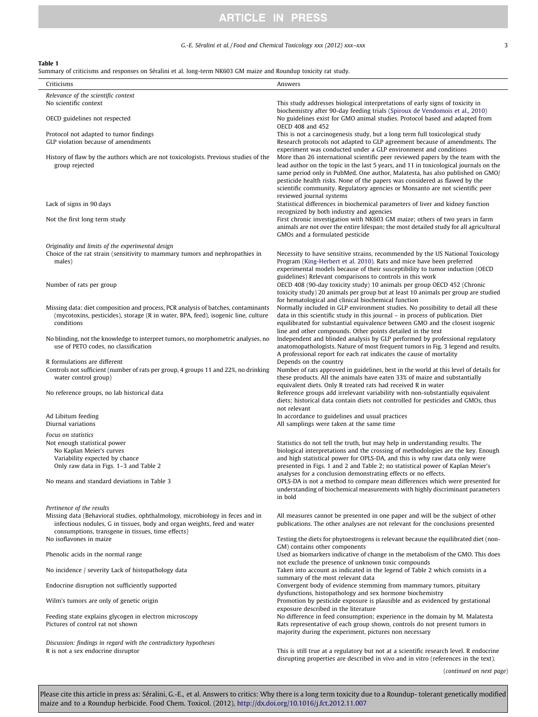# G.-E. Séralini et al. / Food and Chemical Toxicology xxx (2012) xxx–xxx 3

## <span id="page-2-0"></span>Table 1

Summary of criticisms and responses on Séralini et al. long-term NK603 GM maize and Roundup toxicity rat study.

| Criticisms                                                                                                                                                                                                                                  |                                                                                                                                                                                                                                                                                                                                                                                                                                                                                                                                                                                |
|---------------------------------------------------------------------------------------------------------------------------------------------------------------------------------------------------------------------------------------------|--------------------------------------------------------------------------------------------------------------------------------------------------------------------------------------------------------------------------------------------------------------------------------------------------------------------------------------------------------------------------------------------------------------------------------------------------------------------------------------------------------------------------------------------------------------------------------|
|                                                                                                                                                                                                                                             | Answers                                                                                                                                                                                                                                                                                                                                                                                                                                                                                                                                                                        |
| Relevance of the scientific context<br>No scientific context                                                                                                                                                                                | This study addresses biological interpretations of early signs of toxicity in                                                                                                                                                                                                                                                                                                                                                                                                                                                                                                  |
| OECD guidelines not respected                                                                                                                                                                                                               | biochemistry after 90-day feeding trials (Spiroux de Vendomois et al., 2010)<br>No guidelines exist for GMO animal studies. Protocol based and adapted from                                                                                                                                                                                                                                                                                                                                                                                                                    |
| Protocol not adapted to tumor findings<br>GLP violation because of amendments                                                                                                                                                               | OECD 408 and 452<br>This is not a carcinogenesis study, but a long term full toxicological study<br>Research protocols not adapted to GLP agreement because of amendments. The                                                                                                                                                                                                                                                                                                                                                                                                 |
| History of flaw by the authors which are not toxicologists. Previous studies of the<br>group rejected                                                                                                                                       | experiment was conducted under a GLP environment and conditions<br>More than 26 international scientific peer reviewed papers by the team with the<br>lead author on the topic in the last 5 years, and 11 in toxicological journals on the<br>same period only in PubMed. One author, Malatesta, has also published on GMO/<br>pesticide health risks. None of the papers was considered as flawed by the                                                                                                                                                                     |
|                                                                                                                                                                                                                                             | scientific community. Regulatory agencies or Monsanto are not scientific peer<br>reviewed journal systems                                                                                                                                                                                                                                                                                                                                                                                                                                                                      |
| Lack of signs in 90 days                                                                                                                                                                                                                    | Statistical differences in biochemical parameters of liver and kidney function<br>recognized by both industry and agencies                                                                                                                                                                                                                                                                                                                                                                                                                                                     |
| Not the first long term study                                                                                                                                                                                                               | First chronic investigation with NK603 GM maize; others of two years in farm<br>animals are not over the entire lifespan; the most detailed study for all agricultural<br>GMOs and a formulated pesticide                                                                                                                                                                                                                                                                                                                                                                      |
| Originality and limits of the experimental design<br>Choice of the rat strain (sensitivity to mammary tumors and nephropathies in<br>males)                                                                                                 | Necessity to have sensitive strains, recommended by the US National Toxicology<br>Program (King-Herbert et al. 2010). Rats and mice have been preferred<br>experimental models because of their susceptibility to tumor induction (OECD                                                                                                                                                                                                                                                                                                                                        |
| Number of rats per group                                                                                                                                                                                                                    | guidelines) Relevant comparisons to controls in this work<br>OECD 408 (90-day toxicity study) 10 animals per group OECD 452 (Chronic<br>toxicity study) 20 animals per group but at least 10 animals per group are studied<br>for hematological and clinical biochemical function                                                                                                                                                                                                                                                                                              |
| Missing data: diet composition and process, PCR analysis of batches, contaminants<br>(mycotoxins, pesticides), storage (R in water, BPA, feed), isogenic line, culture<br>conditions                                                        | Normally included in GLP environment studies. No possibility to detail all these<br>data in this scientific study in this journal - in process of publication. Diet<br>equilibrated for substantial equivalence between GMO and the closest isogenic<br>line and other compounds. Other points detailed in the text                                                                                                                                                                                                                                                            |
| No blinding, not the knowledge to interpret tumors, no morphometric analyses, no<br>use of PETO codes, no classification                                                                                                                    | Independent and blinded analysis by GLP performed by professional regulatory<br>anatomopathologists. Nature of most frequent tumors in Fig. 3 legend and results.<br>A professional report for each rat indicates the cause of mortality                                                                                                                                                                                                                                                                                                                                       |
| R formulations are different                                                                                                                                                                                                                | Depends on the country                                                                                                                                                                                                                                                                                                                                                                                                                                                                                                                                                         |
| Controls not sufficient (number of rats per group, 4 groups 11 and 22%, no drinking<br>water control group)                                                                                                                                 | Number of rats approved in guidelines, best in the world at this level of details for<br>these products. All the animals have eaten 33% of maize and substantially                                                                                                                                                                                                                                                                                                                                                                                                             |
| No reference groups, no lab historical data                                                                                                                                                                                                 | equivalent diets. Only R treated rats had received R in water<br>Reference groups add irrelevant variability with non-substantially equivalent<br>diets; historical data contain diets not controlled for pesticides and GMOs, thus                                                                                                                                                                                                                                                                                                                                            |
| Ad Libitum feeding<br>Diurnal variations                                                                                                                                                                                                    | not relevant<br>In accordance to guidelines and usual practices<br>All samplings were taken at the same time                                                                                                                                                                                                                                                                                                                                                                                                                                                                   |
| Focus on statistics<br>Not enough statistical power<br>No Kaplan Meier's curves<br>Variability expected by chance<br>Only raw data in Figs. 1-3 and Table 2<br>No means and standard deviations in Table 3                                  | Statistics do not tell the truth, but may help in understanding results. The<br>biological interpretations and the crossing of methodologies are the key. Enough<br>and high statistical power for OPLS-DA, and this is why raw data only were<br>presented in Figs. 1 and 2 and Table 2; no statistical power of Kaplan Meier's<br>analyses for a conclusion demonstrating effects or no effects.<br>OPLS-DA is not a method to compare mean differences which were presented for<br>understanding of biochemical measurements with highly discriminant parameters<br>in bold |
| Pertinence of the results<br>Missing data (Behavioral studies, ophthalmology, microbiology in feces and in<br>infectious nodules, G in tissues, body and organ weights, feed and water<br>consumptions, transgene in tissues, time effects) | All measures cannot be presented in one paper and will be the subject of other<br>publications. The other analyses are not relevant for the conclusions presented                                                                                                                                                                                                                                                                                                                                                                                                              |
| No isoflavones in maize                                                                                                                                                                                                                     | Testing the diets for phytoestrogens is relevant because the equilibrated diet (non-<br>GM) contains other components                                                                                                                                                                                                                                                                                                                                                                                                                                                          |
| Phenolic acids in the normal range                                                                                                                                                                                                          | Used as biomarkers indicative of change in the metabolism of the GMO. This does<br>not exclude the presence of unknown toxic compounds                                                                                                                                                                                                                                                                                                                                                                                                                                         |
| No incidence / severity Lack of histopathology data                                                                                                                                                                                         | Taken into account as indicated in the legend of Table 2 which consists in a<br>summary of the most relevant data                                                                                                                                                                                                                                                                                                                                                                                                                                                              |
| Endocrine disruption not sufficiently supported                                                                                                                                                                                             | Convergent body of evidence stemming from mammary tumors, pituitary<br>dysfunctions, histopathology and sex hormone biochemistry                                                                                                                                                                                                                                                                                                                                                                                                                                               |
| Wilm's tumors are only of genetic origin                                                                                                                                                                                                    | Promotion by pesticide exposure is plausible and as evidenced by gestational<br>exposure described in the literature                                                                                                                                                                                                                                                                                                                                                                                                                                                           |
| Feeding state explains glycogen in electron microscopy<br>Pictures of control rat not shown                                                                                                                                                 | No difference in feed consumption; experience in the domain by M. Malatesta<br>Rats representative of each group shown, controls do not present tumors in<br>majority during the experiment, pictures non necessary                                                                                                                                                                                                                                                                                                                                                            |
| Discussion: findings in regard with the contradictory hypotheses<br>R is not a sex endocrine disruptor                                                                                                                                      | This is still true at a regulatory but not at a scientific research level. R endocrine<br>disrupting properties are described in vivo and in vitro (references in the text).                                                                                                                                                                                                                                                                                                                                                                                                   |

(continued on next page)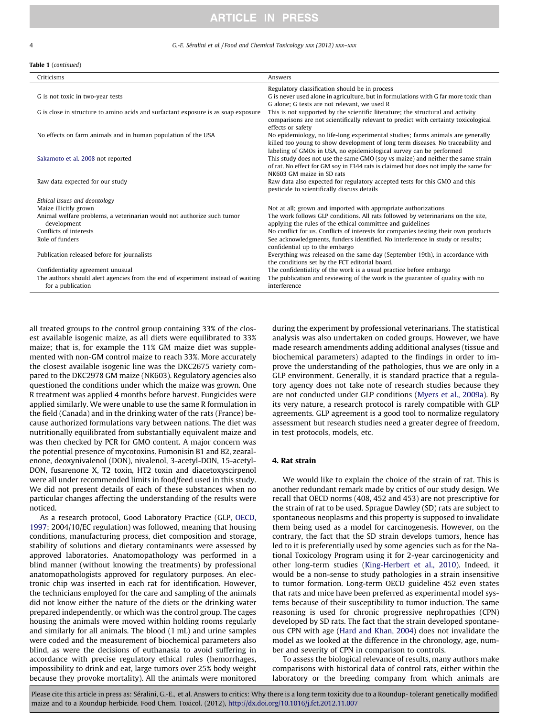#### 4 G.-E. Séralini et al. / Food and Chemical Toxicology xxx (2012) xxx–xxx

Table 1 (continued)

| Criticisms                                                                         | Answers                                                                                                                                                            |
|------------------------------------------------------------------------------------|--------------------------------------------------------------------------------------------------------------------------------------------------------------------|
|                                                                                    | Regulatory classification should be in process                                                                                                                     |
| G is not toxic in two-year tests                                                   | G is never used alone in agriculture, but in formulations with G far more toxic than                                                                               |
|                                                                                    | G alone: G tests are not relevant, we used R                                                                                                                       |
| G is close in structure to amino acids and surfactant exposure is as soap exposure | This is not supported by the scientific literature; the structural and activity                                                                                    |
|                                                                                    | comparisons are not scientifically relevant to predict with certainty toxicological                                                                                |
|                                                                                    | effects or safety                                                                                                                                                  |
| No effects on farm animals and in human population of the USA                      | No epidemiology, no life-long experimental studies; farms animals are generally<br>killed too young to show development of long term diseases. No traceability and |
|                                                                                    | labeling of GMOs in USA, no epidemiological survey can be performed                                                                                                |
| Sakamoto et al. 2008 not reported                                                  | This study does not use the same GMO (soy vs maize) and neither the same strain                                                                                    |
|                                                                                    | of rat. No effect for GM soy in F344 rats is claimed but does not imply the same for                                                                               |
|                                                                                    | NK603 GM maize in SD rats                                                                                                                                          |
| Raw data expected for our study                                                    | Raw data also expected for regulatory accepted tests for this GMO and this                                                                                         |
|                                                                                    | pesticide to scientifically discuss details                                                                                                                        |
| Ethical issues and deontology                                                      |                                                                                                                                                                    |
| Maize illicitly grown                                                              | Not at all; grown and imported with appropriate authorizations                                                                                                     |
| Animal welfare problems, a veterinarian would not authorize such tumor             | The work follows GLP conditions. All rats followed by veterinarians on the site,                                                                                   |
| development                                                                        | applying the rules of the ethical committee and guidelines                                                                                                         |
| Conflicts of interests<br>Role of funders                                          | No conflict for us. Conflicts of interests for companies testing their own products                                                                                |
|                                                                                    | See acknowledgments, funders identified. No interference in study or results;<br>confidential up to the embargo                                                    |
| Publication released before for journalists                                        | Everything was released on the same day (September 19th), in accordance with                                                                                       |
|                                                                                    | the conditions set by the FCT editorial board.                                                                                                                     |
| Confidentiality agreement unusual                                                  | The confidentiality of the work is a usual practice before embargo                                                                                                 |
| The authors should alert agencies from the end of experiment instead of waiting    | The publication and reviewing of the work is the guarantee of quality with no                                                                                      |
| for a publication                                                                  | interference                                                                                                                                                       |

all treated groups to the control group containing 33% of the closest available isogenic maize, as all diets were equilibrated to 33% maize; that is, for example the 11% GM maize diet was supplemented with non-GM control maize to reach 33%. More accurately the closest available isogenic line was the DKC2675 variety compared to the DKC2978 GM maize (NK603). Regulatory agencies also questioned the conditions under which the maize was grown. One R treatment was applied 4 months before harvest. Fungicides were applied similarly. We were unable to use the same R formulation in the field (Canada) and in the drinking water of the rats (France) because authorized formulations vary between nations. The diet was nutritionally equilibrated from substantially equivalent maize and was then checked by PCR for GMO content. A major concern was the potential presence of mycotoxins. Fumonisin B1 and B2, zearalenone, deoxynivalenol (DON), nivalenol, 3-acetyl-DON, 15-acetyl-DON, fusarenone X, T2 toxin, HT2 toxin and diacetoxyscirpenol were all under recommended limits in food/feed used in this study. We did not present details of each of these substances when no particular changes affecting the understanding of the results were noticed.

As a research protocol, Good Laboratory Practice (GLP, [OECD,](#page-7-0) [1997;](#page-7-0) 2004/10/EC regulation) was followed, meaning that housing conditions, manufacturing process, diet composition and storage, stability of solutions and dietary contaminants were assessed by approved laboratories. Anatomopathology was performed in a blind manner (without knowing the treatments) by professional anatomopathologists approved for regulatory purposes. An electronic chip was inserted in each rat for identification. However, the technicians employed for the care and sampling of the animals did not know either the nature of the diets or the drinking water prepared independently, or which was the control group. The cages housing the animals were moved within holding rooms regularly and similarly for all animals. The blood (1 mL) and urine samples were coded and the measurement of biochemical parameters also blind, as were the decisions of euthanasia to avoid suffering in accordance with precise regulatory ethical rules (hemorrhages, impossibility to drink and eat, large tumors over 25% body weight because they provoke mortality). All the animals were monitored

during the experiment by professional veterinarians. The statistical analysis was also undertaken on coded groups. However, we have made research amendments adding additional analyses (tissue and biochemical parameters) adapted to the findings in order to improve the understanding of the pathologies, thus we are only in a GLP environment. Generally, it is standard practice that a regulatory agency does not take note of research studies because they are not conducted under GLP conditions [\(Myers et al., 2009a](#page-7-0)). By its very nature, a research protocol is rarely compatible with GLP agreements. GLP agreement is a good tool to normalize regulatory assessment but research studies need a greater degree of freedom, in test protocols, models, etc.

# 4. Rat strain

We would like to explain the choice of the strain of rat. This is another redundant remark made by critics of our study design. We recall that OECD norms (408, 452 and 453) are not prescriptive for the strain of rat to be used. Sprague Dawley (SD) rats are subject to spontaneous neoplasms and this property is supposed to invalidate them being used as a model for carcinogenesis. However, on the contrary, the fact that the SD strain develops tumors, hence has led to it is preferentially used by some agencies such as for the National Toxicology Program using it for 2-year carcinogenicity and other long-term studies [\(King-Herbert et al., 2010](#page-6-0)). Indeed, it would be a non-sense to study pathologies in a strain insensitive to tumor formation. Long-term OECD guideline 452 even states that rats and mice have been preferred as experimental model systems because of their susceptibility to tumor induction. The same reasoning is used for chronic progressive nephropathies (CPN) developed by SD rats. The fact that the strain developed spontaneous CPN with age [\(Hard and Khan, 2004\)](#page-6-0) does not invalidate the model as we looked at the difference in the chronology, age, number and severity of CPN in comparison to controls.

To assess the biological relevance of results, many authors make comparisons with historical data of control rats, either within the laboratory or the breeding company from which animals are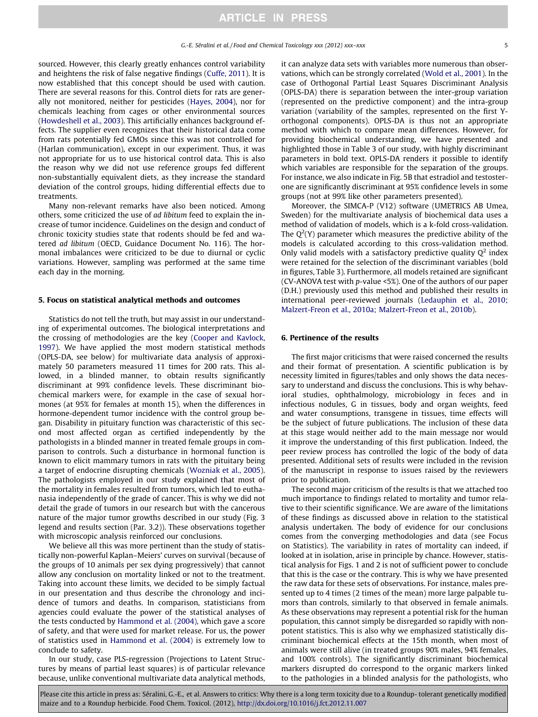sourced. However, this clearly greatly enhances control variability and heightens the risk of false negative findings [\(Cuffe, 2011](#page-6-0)). It is now established that this concept should be used with caution. There are several reasons for this. Control diets for rats are generally not monitored, neither for pesticides ([Hayes, 2004\)](#page-6-0), nor for chemicals leaching from cages or other environmental sources ([Howdeshell et al., 2003\)](#page-6-0). This artificially enhances background effects. The supplier even recognizes that their historical data come from rats potentially fed GMOs since this was not controlled for (Harlan communication), except in our experiment. Thus, it was not appropriate for us to use historical control data. This is also the reason why we did not use reference groups fed different non-substantially equivalent diets, as they increase the standard deviation of the control groups, hiding differential effects due to treatments.

Many non-relevant remarks have also been noticed. Among others, some criticized the use of ad libitum feed to explain the increase of tumor incidence. Guidelines on the design and conduct of chronic toxicity studies state that rodents should be fed and watered ad libitum (OECD, Guidance Document No. 116). The hormonal imbalances were criticized to be due to diurnal or cyclic variations. However, sampling was performed at the same time each day in the morning.

### 5. Focus on statistical analytical methods and outcomes

Statistics do not tell the truth, but may assist in our understanding of experimental outcomes. The biological interpretations and the crossing of methodologies are the key [\(Cooper and Kavlock,](#page-6-0) [1997\)](#page-6-0). We have applied the most modern statistical methods (OPLS-DA, see below) for multivariate data analysis of approximately 50 parameters measured 11 times for 200 rats. This allowed, in a blinded manner, to obtain results significantly discriminant at 99% confidence levels. These discriminant biochemical markers were, for example in the case of sexual hormones (at 95% for females at month 15), when the differences in hormone-dependent tumor incidence with the control group began. Disability in pituitary function was characteristic of this second most affected organ as certified independently by the pathologists in a blinded manner in treated female groups in comparison to controls. Such a disturbance in hormonal function is known to elicit mammary tumors in rats with the pituitary being a target of endocrine disrupting chemicals [\(Wozniak et al., 2005\)](#page-7-0). The pathologists employed in our study explained that most of the mortality in females resulted from tumors, which led to euthanasia independently of the grade of cancer. This is why we did not detail the grade of tumors in our research but with the cancerous nature of the major tumor growths described in our study (Fig. 3 legend and results section (Par. 3.2)). These observations together with microscopic analysis reinforced our conclusions.

We believe all this was more pertinent than the study of statistically non-powerful Kaplan–Meiers' curves on survival (because of the groups of 10 animals per sex dying progressively) that cannot allow any conclusion on mortality linked or not to the treatment. Taking into account these limits, we decided to be simply factual in our presentation and thus describe the chronology and incidence of tumors and deaths. In comparison, statisticians from agencies could evaluate the power of the statistical analyses of the tests conducted by [Hammond et al. \(2004\),](#page-6-0) which gave a score of safety, and that were used for market release. For us, the power of statistics used in [Hammond et al. \(2004\)](#page-6-0) is extremely low to conclude to safety.

In our study, case PLS-regression (Projections to Latent Structures by means of partial least squares) is of particular relevance because, unlike conventional multivariate data analytical methods, it can analyze data sets with variables more numerous than observations, which can be strongly correlated ([Wold et al., 2001\)](#page-7-0). In the case of Orthogonal Partial Least Squares Discriminant Analysis (OPLS-DA) there is separation between the inter-group variation (represented on the predictive component) and the intra-group variation (variability of the samples, represented on the first Yorthogonal components). OPLS-DA is thus not an appropriate method with which to compare mean differences. However, for providing biochemical understanding, we have presented and highlighted those in Table 3 of our study, with highly discriminant parameters in bold text. OPLS-DA renders it possible to identify which variables are responsible for the separation of the groups. For instance, we also indicate in Fig. 5B that estradiol and testosterone are significantly discriminant at 95% confidence levels in some groups (not at 99% like other parameters presented).

Moreover, the SIMCA-P (V12) software (UMETRICS AB Umea, Sweden) for the multivariate analysis of biochemical data uses a method of validation of models, which is a k-fold cross-validation. The  $Q^2(Y)$  parameter which measures the predictive ability of the models is calculated according to this cross-validation method. Only valid models with a satisfactory predictive quality  $Q^2$  index were retained for the selection of the discriminant variables (bold in figures, Table 3). Furthermore, all models retained are significant (CV-ANOVA test with p-value <5%). One of the authors of our paper (D.H.) previously used this method and published their results in international peer-reviewed journals [\(Ledauphin et al., 2010;](#page-6-0) [Malzert-Freon et al., 2010a; Malzert-Freon et al., 2010b\)](#page-6-0).

### 6. Pertinence of the results

The first major criticisms that were raised concerned the results and their format of presentation. A scientific publication is by necessity limited in figures/tables and only shows the data necessary to understand and discuss the conclusions. This is why behavioral studies, ophthalmology, microbiology in feces and in infectious nodules, G in tissues, body and organ weights, feed and water consumptions, transgene in tissues, time effects will be the subject of future publications. The inclusion of these data at this stage would neither add to the main message nor would it improve the understanding of this first publication. Indeed, the peer review process has controlled the logic of the body of data presented. Additional sets of results were included in the revision of the manuscript in response to issues raised by the reviewers prior to publication.

The second major criticism of the results is that we attached too much importance to findings related to mortality and tumor relative to their scientific significance. We are aware of the limitations of these findings as discussed above in relation to the statistical analysis undertaken. The body of evidence for our conclusions comes from the converging methodologies and data (see Focus on Statistics). The variability in rates of mortality can indeed, if looked at in isolation, arise in principle by chance. However, statistical analysis for Figs. 1 and 2 is not of sufficient power to conclude that this is the case or the contrary. This is why we have presented the raw data for these sets of observations. For instance, males presented up to 4 times (2 times of the mean) more large palpable tumors than controls, similarly to that observed in female animals. As these observations may represent a potential risk for the human population, this cannot simply be disregarded so rapidly with nonpotent statistics. This is also why we emphasized statistically discriminant biochemical effects at the 15th month, when most of animals were still alive (in treated groups 90% males, 94% females, and 100% controls). The significantly discriminant biochemical markers disrupted do correspond to the organic markers linked to the pathologies in a blinded analysis for the pathologists, who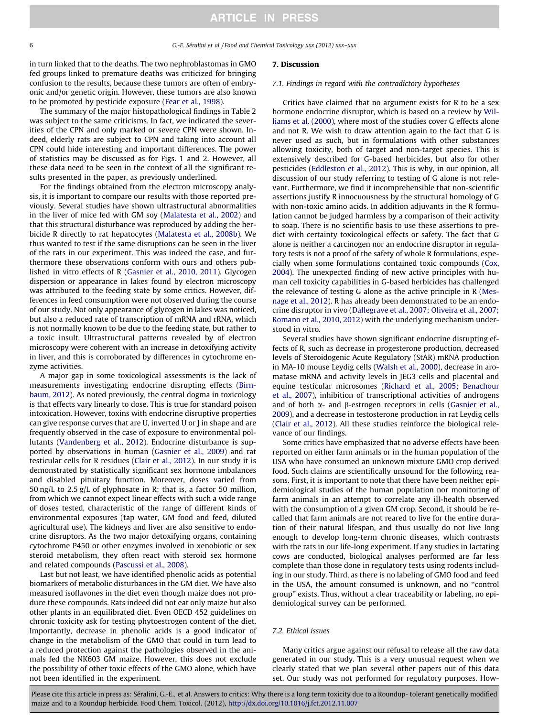in turn linked that to the deaths. The two nephroblastomas in GMO fed groups linked to premature deaths was criticized for bringing confusion to the results, because these tumors are often of embryonic and/or genetic origin. However, these tumors are also known to be promoted by pesticide exposure ([Fear et al., 1998\)](#page-6-0).

The summary of the major histopathological findings in Table 2 was subject to the same criticisms. In fact, we indicated the severities of the CPN and only marked or severe CPN were shown. Indeed, elderly rats are subject to CPN and taking into account all CPN could hide interesting and important differences. The power of statistics may be discussed as for Figs. 1 and 2. However, all these data need to be seen in the context of all the significant results presented in the paper, as previously underlined.

For the findings obtained from the electron microscopy analysis, it is important to compare our results with those reported previously. Several studies have shown ultrastructural abnormalities in the liver of mice fed with GM soy ([Malatesta et al., 2002\)](#page-6-0) and that this structural disturbance was reproduced by adding the herbicide R directly to rat hepatocytes ([Malatesta et al., 2008b\)](#page-6-0). We thus wanted to test if the same disruptions can be seen in the liver of the rats in our experiment. This was indeed the case, and furthermore these observations conform with ours and others published in vitro effects of R ([Gasnier et al., 2010, 2011\)](#page-6-0). Glycogen dispersion or appearance in lakes found by electron microscopy was attributed to the feeding state by some critics. However, differences in feed consumption were not observed during the course of our study. Not only appearance of glycogen in lakes was noticed, but also a reduced rate of transcription of mRNA and rRNA, which is not normally known to be due to the feeding state, but rather to a toxic insult. Ultrastructural patterns revealed by of electron microscopy were coherent with an increase in detoxifying activity in liver, and this is corroborated by differences in cytochrome enzyme activities.

A major gap in some toxicological assessments is the lack of measurements investigating endocrine disrupting effects ([Birn](#page-6-0)[baum, 2012](#page-6-0)). As noted previously, the central dogma in toxicology is that effects vary linearly to dose. This is true for standard poison intoxication. However, toxins with endocrine disruptive properties can give response curves that are U, inverted U or J in shape and are frequently observed in the case of exposure to environmental pollutants ([Vandenberg et al., 2012](#page-7-0)). Endocrine disturbance is supported by observations in human [\(Gasnier et al., 2009](#page-6-0)) and rat testicular cells for R residues [\(Clair et al., 2012\)](#page-6-0). In our study it is demonstrated by statistically significant sex hormone imbalances and disabled pituitary function. Moreover, doses varied from 50 ng/L to 2.5 g/L of glyphosate in R; that is, a factor 50 million, from which we cannot expect linear effects with such a wide range of doses tested, characteristic of the range of different kinds of environmental exposures (tap water, GM food and feed, diluted agricultural use). The kidneys and liver are also sensitive to endocrine disruptors. As the two major detoxifying organs, containing cytochrome P450 or other enzymes involved in xenobiotic or sex steroid metabolism, they often react with steroid sex hormone and related compounds [\(Pascussi et al., 2008\)](#page-7-0).

Last but not least, we have identified phenolic acids as potential biomarkers of metabolic disturbances in the GM diet. We have also measured isoflavones in the diet even though maize does not produce these compounds. Rats indeed did not eat only maize but also other plants in an equilibrated diet. Even OECD 452 guidelines on chronic toxicity ask for testing phytoestrogen content of the diet. Importantly, decrease in phenolic acids is a good indicator of change in the metabolism of the GMO that could in turn lead to a reduced protection against the pathologies observed in the animals fed the NK603 GM maize. However, this does not exclude the possibility of other toxic effects of the GMO alone, which have not been identified in the experiment.

#### 7. Discussion

#### 7.1. Findings in regard with the contradictory hypotheses

Critics have claimed that no argument exists for R to be a sex hormone endocrine disruptor, which is based on a review by [Wil](#page-7-0)[liams et al. \(2000\),](#page-7-0) where most of the studies cover G effects alone and not R. We wish to draw attention again to the fact that G is never used as such, but in formulations with other substances allowing toxicity, both of target and non-target species. This is extensively described for G-based herbicides, but also for other pesticides [\(Eddleston et al., 2012\)](#page-6-0). This is why, in our opinion, all discussion of our study referring to testing of G alone is not relevant. Furthermore, we find it incomprehensible that non-scientific assertions justify R innocuousness by the structural homology of G with non-toxic amino acids. In addition adjuvants in the R formulation cannot be judged harmless by a comparison of their activity to soap. There is no scientific basis to use these assertions to predict with certainty toxicological effects or safety. The fact that G alone is neither a carcinogen nor an endocrine disruptor in regulatory tests is not a proof of the safety of whole R formulations, especially when some formulations contained toxic compounds ([Cox,](#page-6-0) [2004\)](#page-6-0). The unexpected finding of new active principles with human cell toxicity capabilities in G-based herbicides has challenged the relevance of testing G alone as the active principle in R ([Mes](#page-7-0)[nage et al., 2012](#page-7-0)). R has already been demonstrated to be an endocrine disruptor in vivo ([Dallegrave et al., 2007; Oliveira et al., 2007;](#page-6-0) [Romano et al., 2010, 2012\)](#page-6-0) with the underlying mechanism understood in vitro.

Several studies have shown significant endocrine disrupting effects of R, such as decrease in progesterone production, decreased levels of Steroidogenic Acute Regulatory (StAR) mRNA production in MA-10 mouse Leydig cells ([Walsh et al., 2000\)](#page-7-0), decrease in aromatase mRNA and activity levels in JEG3 cells and placental and equine testicular microsomes [\(Richard et al., 2005; Benachour](#page-7-0) [et al., 2007\)](#page-7-0), inhibition of transcriptional activities of androgens and of both  $\alpha$ - and  $\beta$ -estrogen receptors in cells ([Gasnier et al.,](#page-6-0) [2009\)](#page-6-0), and a decrease in testosterone production in rat Leydig cells ([Clair et al., 2012](#page-6-0)). All these studies reinforce the biological relevance of our findings.

Some critics have emphasized that no adverse effects have been reported on either farm animals or in the human population of the USA who have consumed an unknown mixture GMO crop derived food. Such claims are scientifically unsound for the following reasons. First, it is important to note that there have been neither epidemiological studies of the human population nor monitoring of farm animals in an attempt to correlate any ill-health observed with the consumption of a given GM crop. Second, it should be recalled that farm animals are not reared to live for the entire duration of their natural lifespan, and thus usually do not live long enough to develop long-term chronic diseases, which contrasts with the rats in our life-long experiment. If any studies in lactating cows are conducted, biological analyses performed are far less complete than those done in regulatory tests using rodents including in our study. Third, as there is no labeling of GMO food and feed in the USA, the amount consumed is unknown, and no ''control group'' exists. Thus, without a clear traceability or labeling, no epidemiological survey can be performed.

#### 7.2. Ethical issues

Many critics argue against our refusal to release all the raw data generated in our study. This is a very unusual request when we clearly stated that we plan several other papers out of this data set. Our study was not performed for regulatory purposes. How-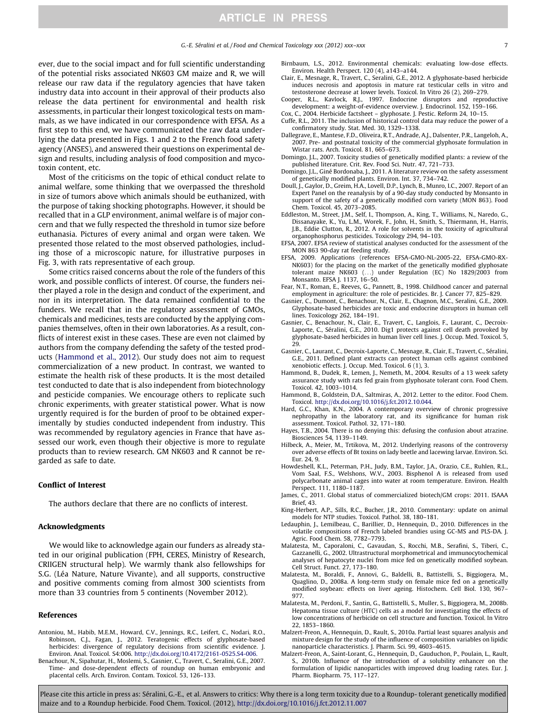#### G.-E. Séralini et al. / Food and Chemical Toxicology xxx (2012) xxx–xxx 7

<span id="page-6-0"></span>ever, due to the social impact and for full scientific understanding of the potential risks associated NK603 GM maize and R, we will release our raw data if the regulatory agencies that have taken industry data into account in their approval of their products also release the data pertinent for environmental and health risk assessments, in particular their longest toxicological tests on mammals, as we have indicated in our correspondence with EFSA. As a first step to this end, we have communicated the raw data underlying the data presented in Figs. 1 and 2 to the French food safety agency (ANSES), and answered their questions on experimental design and results, including analysis of food composition and mycotoxin content, etc.

Most of the criticisms on the topic of ethical conduct relate to animal welfare, some thinking that we overpassed the threshold in size of tumors above which animals should be euthanized, with the purpose of taking shocking photographs. However, it should be recalled that in a GLP environment, animal welfare is of major concern and that we fully respected the threshold in tumor size before euthanasia. Pictures of every animal and organ were taken. We presented those related to the most observed pathologies, including those of a microscopic nature, for illustrative purposes in Fig. 3, with rats representative of each group.

Some critics raised concerns about the role of the funders of this work, and possible conflicts of interest. Of course, the funders neither played a role in the design and conduct of the experiment, and nor in its interpretation. The data remained confidential to the funders. We recall that in the regulatory assessment of GMOs, chemicals and medicines, tests are conducted by the applying companies themselves, often in their own laboratories. As a result, conflicts of interest exist in these cases. These are even not claimed by authors from the company defending the safety of the tested products (Hammond et al., 2012). Our study does not aim to request commercialization of a new product. In contrast, we wanted to estimate the health risk of these products. It is the most detailed test conducted to date that is also independent from biotechnology and pesticide companies. We encourage others to replicate such chronic experiments, with greater statistical power. What is now urgently required is for the burden of proof to be obtained experimentally by studies conducted independent from industry. This was recommended by regulatory agencies in France that have assessed our work, even though their objective is more to regulate products than to review research. GM NK603 and R cannot be regarded as safe to date.

#### Conflict of Interest

The authors declare that there are no conflicts of interest.

### Acknowledgments

We would like to acknowledge again our funders as already stated in our original publication (FPH, CERES, Ministry of Research, CRIIGEN structural help). We warmly thank also fellowships for S.G. (Léa Nature, Nature Vivante), and all supports, constructive and positive comments coming from almost 300 scientists from more than 33 countries from 5 continents (November 2012).

#### References

- Antoniou, M., Habib, M.E.M., Howard, C.V., Jennings, R.C., Leifert, C., Nodari, R.O., Robinson, C.J., Fagan, J., 2012. Teratogenic effects of glyphosate-based herbicides: divergence of regulatory decisions from scientific evidence. J. Environ. Anal. Toxicol. S4:006. http://dx.doi.org[/10.4172/2161-0525.S4-006.](http://dx.doi.org/10.4172/2161-0525.S4-006)
- Benachour, N., Sipahutar, H., Moslemi, S., Gasnier, C., Travert, C., Seralini, G.E., 2007. Time- and dose-dependent effects of roundup on human embryonic and placental cells. Arch. Environ. Contam. Toxicol. 53, 126–133.
- Birnbaum, L.S., 2012. Environmental chemicals: evaluating low-dose effects. Environ. Health Perspect. 120 (4), a143–a144.
- Clair, E., Mesnage, R., Travert, C., Seralini, G.E., 2012. A glyphosate-based herbicide induces necrosis and apoptosis in mature rat testicular cells in vitro and testosterone decrease at lower levels. Toxicol. In Vitro 26 (2), 269–279.
- Cooper, R.L., Kavlock, R.J., 1997. Endocrine disruptors and reproductive development: a weight-of-evidence overview. J. Endocrinol. 152, 159–166.
- Cox, C., 2004. Herbicide factsheet glyphosate. J. Pestic. Reform 24, 10–15. Cuffe, R.L., 2011. The inclusion of historical control data may reduce the power of a confirmatory study. Stat. Med. 30, 1329–1338.
- Dallegrave, E., Mantese, F.D., Oliveira, R.T., Andrade, A.J., Dalsenter, P.R., Langeloh, A., 2007. Pre- and postnatal toxicity of the commercial glyphosate formulation in Wistar rats. Arch. Toxicol. 81, 665–673.
- Domingo, J.L., 2007. Toxicity studies of genetically modified plants: a review of the published literature. Crit. Rev. Food Sci. Nutr. 47, 721–733.
- Domingo, J.L., Giné Bordonaba, J., 2011. A literature review on the safety assessment of genetically modified plants. Environ. Int. 37, 734–742.
- Doull, J., Gaylor, D., Greim, H.A., Lovell, D.P., Lynch, B., Munro, I.C., 2007. Report of an Expert Panel on the reanalysis by of a 90-day study conducted by Monsanto in support of the safety of a genetically modified corn variety (MON 863). Food Chem. Toxicol. 45, 2073–2085.
- Eddleston, M., Street, J.M., Self, I., Thompson, A., King, T., Williams, N., Naredo, G., Dissanayake, K., Yu, L.M., Worek, F., John, H., Smith, S., Thiermann, H., Harris, J.B., Eddie Clutton, R., 2012. A role for solvents in the toxicity of agricultural organophosphorus pesticides. Toxicology 294, 94–103.
- EFSA, 2007. EFSA review of statistical analyses conducted for the assessment of the MON 863 90-day rat feeding study.
- EFSA, 2009. Applications (references EFSA-GMO-NL-2005-22, EFSA-GMO-RX-NK603) for the placing on the market of the genetically modified glyphosate tolerant maize NK603 (...) under Regulation (EC) No 1829/2003 from Monsanto. EFSA J. 1137, 16–50.
- Fear, N.T., Roman, E., Reeves, G., Pannett, B., 1998. Childhood cancer and paternal employment in agriculture: the role of pesticides. Br. J. Cancer 77, 825–829.
- Gasnier, C., Dumont, C., Benachour, N., Clair, E., Chagnon, M.C., Seralini, G.E., 2009. Glyphosate-based herbicides are toxic and endocrine disruptors in human cell lines. Toxicology 262, 184–191.
- Gasnier, C., Benachour, N., Clair, E., Travert, C., Langlois, F., Laurant, C., Decroix-Laporte, C., Séralini, G.E., 2010. Dig1 protects against cell death provoked by glyphosate-based herbicides in human liver cell lines. J. Occup. Med. Toxicol. 5, 29.
- Gasnier, C., Laurant, C., Decroix-Laporte, C., Mesnage, R., Clair, E., Travert, C., Séralini, G.E., 2011. Defined plant extracts can protect human cells against combined xenobiotic effects. J. Occup. Med. Toxicol. 6 (1), 3.
- Hammond, B., Dudek, R., Lemen, J., Nemeth, M., 2004. Results of a 13 week safety assurance study with rats fed grain from glyphosate tolerant corn. Food Chem. Toxicol. 42, 1003–1014.
- Hammond, B., Goldstein, D.A., Saltmiras, A., 2012. Letter to the editor. Food Chem. Toxicol. [http://dx.doi.org/10.1016/j.fct.2012.10.044.](http://dx.doi.org/10.1016/j.fct.2012.10.044)
- Hard, G.C., Khan, K.N., 2004. A contemporary overview of chronic progressive nephropathy in the laboratory rat, and its significance for human risk assessment. Toxicol. Pathol. 32, 171–180.
- Hayes, T.B., 2004. There is no denying this: defusing the confusion about atrazine. Biosciences 54, 1139–1149.
- Hilbeck, A., Meier, M., Trtikova, M., 2012. Underlying reasons of the controversy over adverse effects of Bt toxins on lady beetle and lacewing larvae. Environ. Sci. Eur. 24, 9.
- Howdeshell, K.L., Peterman, P.H., Judy, B.M., Taylor, J.A., Orazio, C.E., Ruhlen, R.L., Vom Saal, F.S., Welshons, W.V., 2003. Bisphenol A is released from used polycarbonate animal cages into water at room temperature. Environ. Health Perspect. 111, 1180–1187.
- James, C., 2011. Global status of commercialized biotech/GM crops: 2011. ISAAA Brief, 43.
- King-Herbert, A.P., Sills, R.C., Bucher, J.R., 2010. Commentary: update on animal models for NTP studies. Toxicol. Pathol. 38, 180–181.
- Ledauphin, J., Lemilbeau, C., Barillier, D., Hennequin, D., 2010. Differences in the volatile compositions of French labeled brandies using GC-MS and PLS-DA. J. Agric. Food Chem. 58, 7782–7793.
- Malatesta, M., Caporaloni, C., Gavaudan, S., Rocchi, M.B., Serafini, S., Tiberi, C., Gazzanelli, G., 2002. Ultrastructural morphometrical and immunocytochemical analyses of hepatocyte nuclei from mice fed on genetically modified soybean. Cell Struct. Funct. 27, 173–180.
- Malatesta, M., Boraldi, F., Annovi, G., Baldelli, B., Battistelli, S., Biggiogera, M., Quaglino, D., 2008a. A long-term study on female mice fed on a genetically modified soybean: effects on liver ageing. Histochem. Cell Biol. 130, 967– 977.
- Malatesta, M., Perdoni, F., Santin, G., Battistelli, S., Muller, S., Biggiogera, M., 2008b. Hepatoma tissue culture (HTC) cells as a model for investigating the effects of low concentrations of herbicide on cell structure and function. Toxicol. In Vitro 22, 1853–1860.
- Malzert-Freon, A., Hennequin, D., Rault, S., 2010a. Partial least squares analysis and mixture design for the study of the influence of composition variables on lipidic nanoparticle characteristics. J. Pharm. Sci. 99, 4603–4615.
- Malzert-Freon, A., Saint-Lorant, G., Hennequin, D., Gauduchon, P., Poulain, L., Rault, S., 2010b. Influence of the introduction of a solubility enhancer on the formulation of lipidic nanoparticles with improved drug loading rates. Eur. J. Pharm. Biopharm. 75, 117–127.